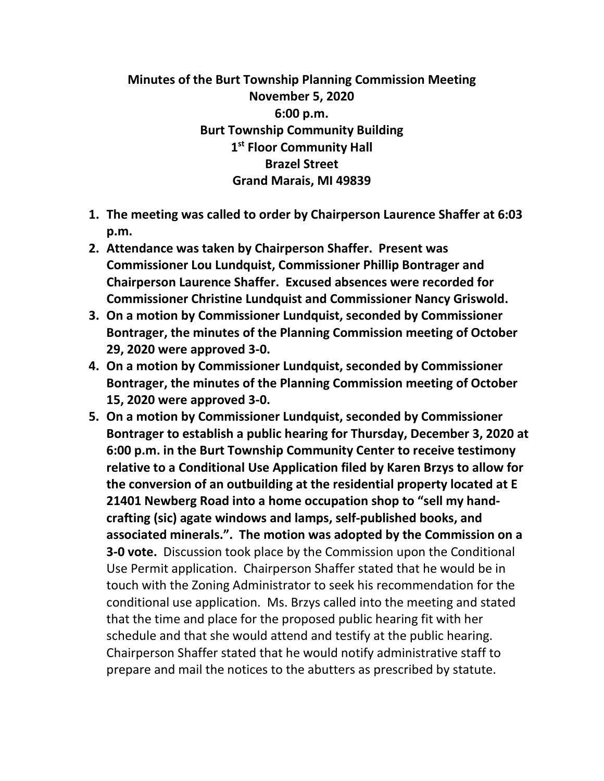## **Minutes of the Burt Township Planning Commission Meeting November 5, 2020 6:00 p.m. Burt Township Community Building 1st Floor Community Hall Brazel Street Grand Marais, MI 49839**

- **1. The meeting was called to order by Chairperson Laurence Shaffer at 6:03 p.m.**
- **2. Attendance was taken by Chairperson Shaffer. Present was Commissioner Lou Lundquist, Commissioner Phillip Bontrager and Chairperson Laurence Shaffer. Excused absences were recorded for Commissioner Christine Lundquist and Commissioner Nancy Griswold.**
- **3. On a motion by Commissioner Lundquist, seconded by Commissioner Bontrager, the minutes of the Planning Commission meeting of October 29, 2020 were approved 3-0.**
- **4. On a motion by Commissioner Lundquist, seconded by Commissioner Bontrager, the minutes of the Planning Commission meeting of October 15, 2020 were approved 3-0.**
- **5. On a motion by Commissioner Lundquist, seconded by Commissioner Bontrager to establish a public hearing for Thursday, December 3, 2020 at 6:00 p.m. in the Burt Township Community Center to receive testimony relative to a Conditional Use Application filed by Karen Brzys to allow for the conversion of an outbuilding at the residential property located at E 21401 Newberg Road into a home occupation shop to "sell my handcrafting (sic) agate windows and lamps, self-published books, and associated minerals.". The motion was adopted by the Commission on a 3-0 vote.** Discussion took place by the Commission upon the Conditional Use Permit application. Chairperson Shaffer stated that he would be in touch with the Zoning Administrator to seek his recommendation for the conditional use application. Ms. Brzys called into the meeting and stated that the time and place for the proposed public hearing fit with her schedule and that she would attend and testify at the public hearing. Chairperson Shaffer stated that he would notify administrative staff to prepare and mail the notices to the abutters as prescribed by statute.